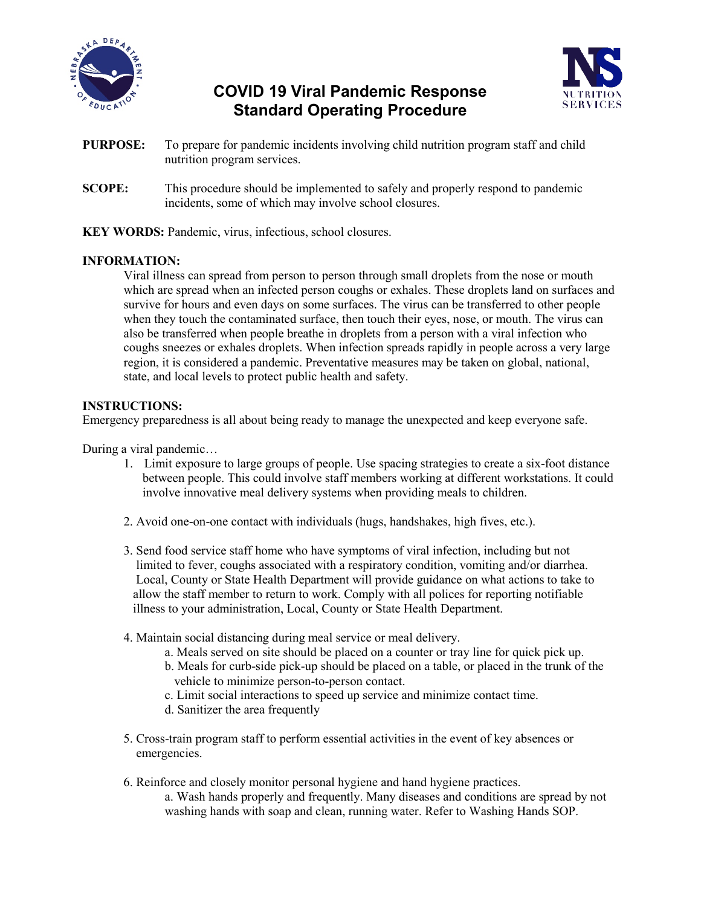

# **COVID 19 Viral Pandemic Response Standard Operating Procedure**



- **PURPOSE:** To prepare for pandemic incidents involving child nutrition program staff and child nutrition program services.
- **SCOPE:** This procedure should be implemented to safely and properly respond to pandemic incidents, some of which may involve school closures.
- **KEY WORDS:** Pandemic, virus, infectious, school closures.

# **INFORMATION:**

Viral illness can spread from person to person through small droplets from the nose or mouth which are spread when an infected person coughs or exhales. These droplets land on surfaces and survive for hours and even days on some surfaces. The virus can be transferred to other people when they touch the contaminated surface, then touch their eyes, nose, or mouth. The virus can also be transferred when people breathe in droplets from a person with a viral infection who coughs sneezes or exhales droplets. When infection spreads rapidly in people across a very large region, it is considered a pandemic. Preventative measures may be taken on global, national, state, and local levels to protect public health and safety.

## **INSTRUCTIONS:**

Emergency preparedness is all about being ready to manage the unexpected and keep everyone safe.

During a viral pandemic…

- 1. Limit exposure to large groups of people. Use spacing strategies to create a six-foot distance between people. This could involve staff members working at different workstations. It could involve innovative meal delivery systems when providing meals to children.
- 2. Avoid one-on-one contact with individuals (hugs, handshakes, high fives, etc.).
- 3. Send food service staff home who have symptoms of viral infection, including but not limited to fever, coughs associated with a respiratory condition, vomiting and/or diarrhea. Local, County or State Health Department will provide guidance on what actions to take to allow the staff member to return to work. Comply with all polices for reporting notifiable illness to your administration, Local, County or State Health Department.
- 4. Maintain social distancing during meal service or meal delivery.
	- a. Meals served on site should be placed on a counter or tray line for quick pick up.
	- b. Meals for curb-side pick-up should be placed on a table, or placed in the trunk of the vehicle to minimize person-to-person contact.
	- c. Limit social interactions to speed up service and minimize contact time.
	- d. Sanitizer the area frequently
- 5. Cross-train program staff to perform essential activities in the event of key absences or emergencies.
- 6. Reinforce and closely monitor personal hygiene and hand hygiene practices.
	- a. Wash hands properly and frequently. Many diseases and conditions are spread by not washing hands with soap and clean, running water. Refer to Washing Hands SOP.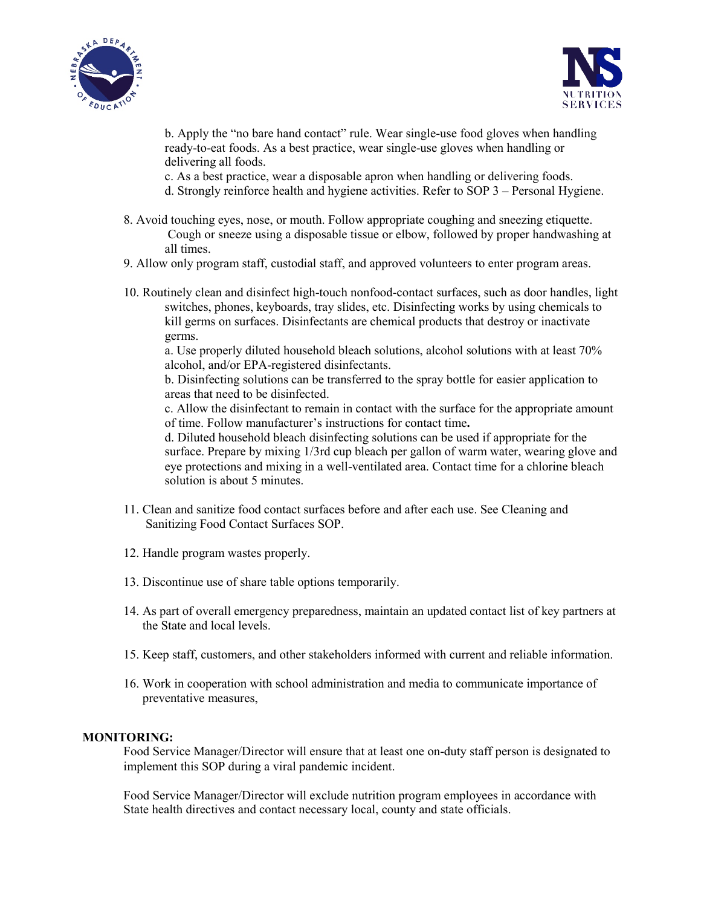



b. Apply the "no bare hand contact" rule. Wear single-use food gloves when handling ready-to-eat foods. As a best practice, wear single-use gloves when handling or delivering all foods.

c. As a best practice, wear a disposable apron when handling or delivering foods.

- d. Strongly reinforce health and hygiene activities. Refer to SOP 3 Personal Hygiene.
- 8. Avoid touching eyes, nose, or mouth. Follow appropriate coughing and sneezing etiquette. Cough or sneeze using a disposable tissue or elbow, followed by proper handwashing at all times.
- 9. Allow only program staff, custodial staff, and approved volunteers to enter program areas.
- 10. Routinely clean and disinfect high-touch nonfood-contact surfaces, such as door handles, light switches, phones, keyboards, tray slides, etc. Disinfecting works by using chemicals to kill germs on surfaces. Disinfectants are chemical products that destroy or inactivate germs.

a. Use properly diluted household bleach solutions, alcohol solutions with at least 70% alcohol, and/or EPA-registered disinfectants.

b. Disinfecting solutions can be transferred to the spray bottle for easier application to areas that need to be disinfected.

c. Allow the disinfectant to remain in contact with the surface for the appropriate amount of time. Follow manufacturer's instructions for contact time**.**

d. Diluted household bleach disinfecting solutions can be used if appropriate for the surface. Prepare by mixing 1/3rd cup bleach per gallon of warm water, wearing glove and eye protections and mixing in a well-ventilated area. Contact time for a chlorine bleach solution is about 5 minutes.

- 11. Clean and sanitize food contact surfaces before and after each use. See Cleaning and Sanitizing Food Contact Surfaces SOP.
- 12. Handle program wastes properly.
- 13. Discontinue use of share table options temporarily.
- 14. As part of overall emergency preparedness, maintain an updated contact list of key partners at the State and local levels.
- 15. Keep staff, customers, and other stakeholders informed with current and reliable information.
- 16. Work in cooperation with school administration and media to communicate importance of preventative measures,

#### **MONITORING:**

Food Service Manager/Director will ensure that at least one on-duty staff person is designated to implement this SOP during a viral pandemic incident.

Food Service Manager/Director will exclude nutrition program employees in accordance with State health directives and contact necessary local, county and state officials.